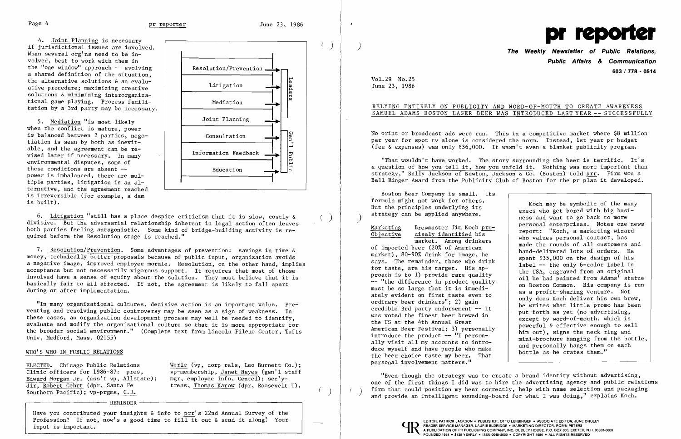4. Joint Planning is necessary if jurisdictional issues are involved. When several org'ns need to be involved, best to work with them in the "one window" approach -- evolving | Resolution/Prevention a shared definition of the situation, the alternative solutions  $\&$  an evalu-<br>ative procedure; maximizing creative  $\qquad$  Litigation solutions & minimizing interorganiza-<br>tional game playing. Process facilitional game playing. Process facili-<br>tation by a 3rd party may be necessary.

when the conflict is mature, power tiation is seen by both as inevit-<br>able, and the agreement can be reternative, and the agreement reached is irreversible (for example, a dam is built).



6. Litigation "still has a place despite criticism that it is slow, costly  $\&$ divisive. But the adversarial relationship inherent in legal action often leaves both parties feeling antagonistic. Some kind of bridge-building activity is required before the Resolution stage is reached."

ELECTED. Chicago Public Relations Werle (vp, corp rels, Leo Burnett Co.);<br>Clinic officers for 1986-87: pres. vp-membership. Janet Haves (gen'l staff Edward Morgan Jr. (ass't vp, Allstate); dir, Robert Gehrt (dpr, Santa Fe Southern Pacific); vp-prgms, C.R.

vp-membership, Janet Hayes (gen'l staff<br>mgr, employee info, Centel); sec'ytreas, Thomas Karow (dpr, Roosevelt U).

REMINDER ———————————————————————————————————

Have you contributed your insights & info to  $\text{prr}'$ s 22nd Annual Survey of the have you concributed your insights a fill of pine is 22nd Annual Survey of the<br>Profession? If not, now's a good time to fill it out & send it along! Your input is important.

## RELYING ENTIRELY ON PUBLICITY AND WORD-OF-MOUTH TO CREATE AWARENESS SAMUEL ADAMS BOSTON LAGER BEER WAS INTRODUCED LAST YEAR -- SUCCESSFULLY

7. Resolution/Prevention. Some advantages of prevention: savings in time & money, technically better proposals because of public input, organization avoids a negative image, improved employee morale. Resolution, on the other hand, implies acceptance but not necessarily vigorous support. It requires that most of those involved have a sense of equity about the solution. They must believe that it is basically fair to all affected. If not, the agreement is likely to fall apart during or after implementation.

"That wouldn't have worked. The story surrounding the beer is terrific. It's a question of how you tell it, how you unfold it. Nothing was more important than strategy," Sally Jackson of Newton, Jackson & Co. (Boston) told prr. Firm won a Bell Ringer Award from the Publicity Club of Boston for the pr plan it developed.

"In many organizational cultures, decisive action is an important value. Preventing and resolving public controversy may be seen as a sign of weakness. In these cases, an organization development process may well be needed to identify, evaluate and modify the organizational culture so that it is more appropriate for the broader social environment." (Complete text from Lincoln Filene Center, Tufts Univ, Medford, Mass. 02155)

### WHO'S WHO IN PUBLIC RELATIONS

must be so large that it is immedi-<br>ately evident on first taste even to<br>ordinary beer drinkers"; 2) gain<br>credible 3rd party endorsement --- it<br>was voted the finest beer been been<br>the US at the 4th Annual Great<br>American Be personal involvement matters."

"Even though the strategy was to create a brand identity without advertising, one of the first things I did was to hire the advertising agency and public relations firm that could position my beer correctly, help with name selection and packaging and provide an intelligent sounding-board for what I was doing," explains Koch.

)

 $\left\langle \cdot \right\rangle$ 

 $\left( \quad \right)$ 

)



**Public Affairs** *&* **Communication 603 / 778 - 0514** 

But the principles underlying its<br>strategy can be applied anywhere. ness and want to go back to more<br>personal enterprises. Notes one news Marketing Brewmaster Jim Koch pre-<br>
Objective cisely identified his<br>
market. Among drinkers<br>
of imported beer (20% of American<br>
market), 80-90% drink for image, he<br>
says The remainder those who drink<br>
and-delivered lots of says. The remainder, those who drink<br>for taste, are his target. His ap-<br>proach is to 1) provide rare quality<br>-- "the difference in product quality<br>must be so large that it is immedi-<br>as a profit-sharing venture. Not

Vol. 29 No.25 June 23, 1986

No print or broadcast ads were run. This in a competitive market where \$8 million per year for spot tv alone is considered the norm. Instead, 1st year pr budget (fee & expenses) was only \$36,000. It wasn't even a blanket publicity program.

Boston Beer Company is small. Its formula might not work for others.